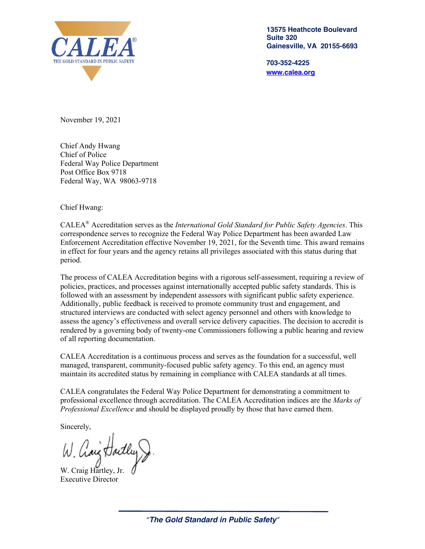

**13575 Heathcote Boulevard Suite 320 Gainesville, VA 20155-6693**

**703-352-4225 www.calea.org**

November 19, 2021

Chief Andy Hwang Chief of Police Federal Way Police Department Post Office Box 9718 Federal Way, WA 98063-9718

Chief Hwang:

CALEA® Accreditation serves as the *International Gold Standard for Public Safety Agencies*. This correspondence serves to recognize the Federal Way Police Department has been awarded Law Enforcement Accreditation effective November 19, 2021, for the Seventh time. This award remains in effect for four years and the agency retains all privileges associated with this status during that period.

The process of CALEA Accreditation begins with a rigorous self-assessment, requiring a review of policies, practices, and processes against internationally accepted public safety standards. This is followed with an assessment by independent assessors with significant public safety experience. Additionally, public feedback is received to promote community trust and engagement, and structured interviews are conducted with select agency personnel and others with knowledge to assess the agency's effectiveness and overall service delivery capacities. The decision to accredit is rendered by a governing body of twenty-one Commissioners following a public hearing and review of all reporting documentation.

CALEA Accreditation is a continuous process and serves as the foundation for a successful, well managed, transparent, community-focused public safety agency. To this end, an agency must maintain its accredited status by remaining in compliance with CALEA standards at all times.

CALEA congratulates the Federal Way Police Department for demonstrating a commitment to professional excellence through accreditation. The CALEA Accreditation indices are the *Marks of Professional Excellence* and should be displayed proudly by those that have earned them.

Sincerely,

W. Craig Hartley, Jr. Executive Director